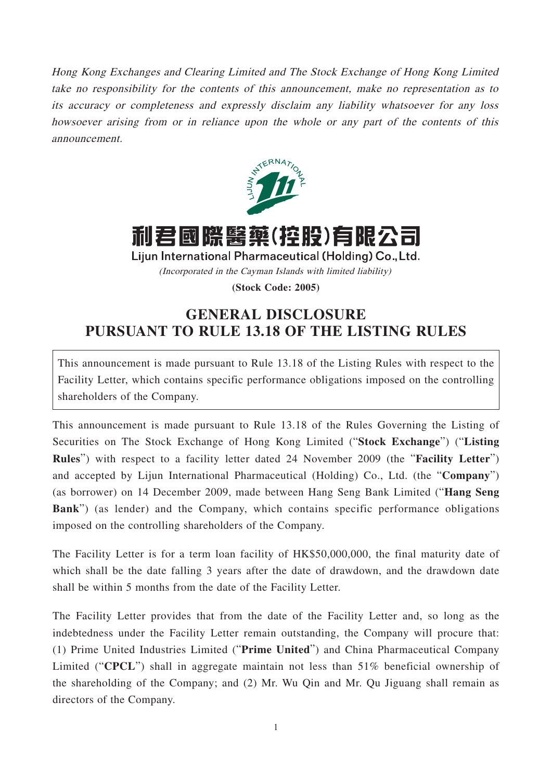Hong Kong Exchanges and Clearing Limited and The Stock Exchange of Hong Kong Limited take no responsibility for the contents of this announcement, make no representation as to its accuracy or completeness and expressly disclaim any liability whatsoever for any loss howsoever arising from or in reliance upon the whole or any part of the contents of this announcement.



利君國際醫藥(控股)有限公司

Lijun International Pharmaceutical (Holding) Co., Ltd.

(Incorporated in the Cayman Islands with limited liability)

**(Stock Code: 2005)**

## **GENERAL DISCLOSURE PURSUANT TO RULE 13.18 OF THE LISTING RULES**

This announcement is made pursuant to Rule 13.18 of the Listing Rules with respect to the Facility Letter, which contains specific performance obligations imposed on the controlling shareholders of the Company.

This announcement is made pursuant to Rule 13.18 of the Rules Governing the Listing of Securities on The Stock Exchange of Hong Kong Limited ("**Stock Exchange**") ("**Listing Rules**") with respect to a facility letter dated 24 November 2009 (the "**Facility Letter**") and accepted by Lijun International Pharmaceutical (Holding) Co., Ltd. (the "**Company**") (as borrower) on 14 December 2009, made between Hang Seng Bank Limited ("**Hang Seng Bank**") (as lender) and the Company, which contains specific performance obligations imposed on the controlling shareholders of the Company.

The Facility Letter is for a term loan facility of HK\$50,000,000, the final maturity date of which shall be the date falling 3 years after the date of drawdown, and the drawdown date shall be within 5 months from the date of the Facility Letter.

The Facility Letter provides that from the date of the Facility Letter and, so long as the indebtedness under the Facility Letter remain outstanding, the Company will procure that: (1) Prime United Industries Limited ("**Prime United**") and China Pharmaceutical Company Limited ("**CPCL**") shall in aggregate maintain not less than 51% beneficial ownership of the shareholding of the Company; and (2) Mr. Wu Qin and Mr. Qu Jiguang shall remain as directors of the Company.